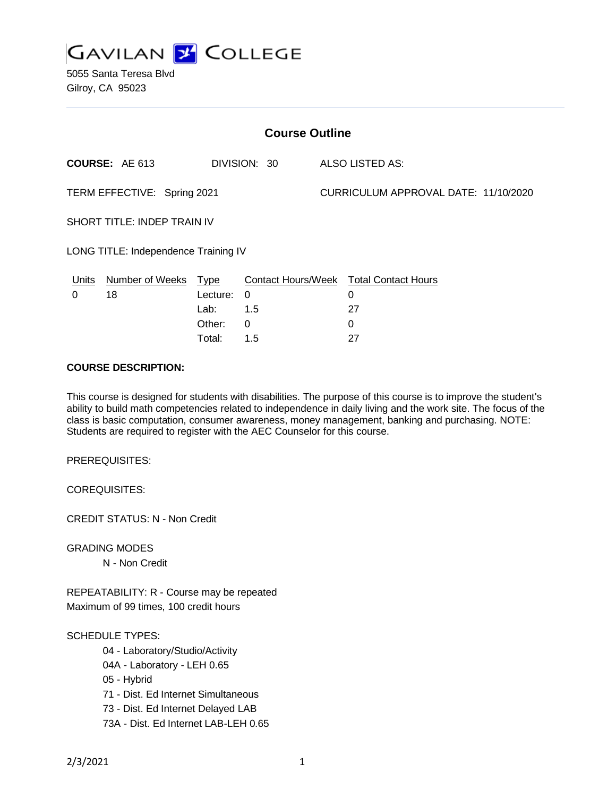

5055 Santa Teresa Blvd Gilroy, CA 95023

| <b>Course Outline</b>                |                        |             |              |  |                                        |  |
|--------------------------------------|------------------------|-------------|--------------|--|----------------------------------------|--|
|                                      | <b>COURSE: AE 613</b>  |             | DIVISION: 30 |  | ALSO LISTED AS:                        |  |
| TERM EFFECTIVE: Spring 2021          |                        |             |              |  | CURRICULUM APPROVAL DATE: 11/10/2020   |  |
| SHORT TITLE: INDEP TRAIN IV          |                        |             |              |  |                                        |  |
| LONG TITLE: Independence Training IV |                        |             |              |  |                                        |  |
| <b>Units</b>                         | <b>Number of Weeks</b> | <u>Type</u> |              |  | Contact Hours/Week Total Contact Hours |  |
| 0                                    | 18                     | Lecture:    | $\Omega$     |  | 0                                      |  |
|                                      |                        | Lab:        | 1.5          |  | 27                                     |  |
|                                      |                        | Other:      | 0            |  | 0                                      |  |

### **COURSE DESCRIPTION:**

This course is designed for students with disabilities. The purpose of this course is to improve the student's ability to build math competencies related to independence in daily living and the work site. The focus of the class is basic computation, consumer awareness, money management, banking and purchasing. NOTE: Students are required to register with the AEC Counselor for this course.

Total: 1.5 27

PREREQUISITES:

COREQUISITES:

CREDIT STATUS: N - Non Credit

GRADING MODES

N - Non Credit

REPEATABILITY: R - Course may be repeated Maximum of 99 times, 100 credit hours

#### SCHEDULE TYPES:

- 04 Laboratory/Studio/Activity
- 04A Laboratory LEH 0.65
- 05 Hybrid
- 71 Dist. Ed Internet Simultaneous
- 73 Dist. Ed Internet Delayed LAB
- 73A Dist. Ed Internet LAB-LEH 0.65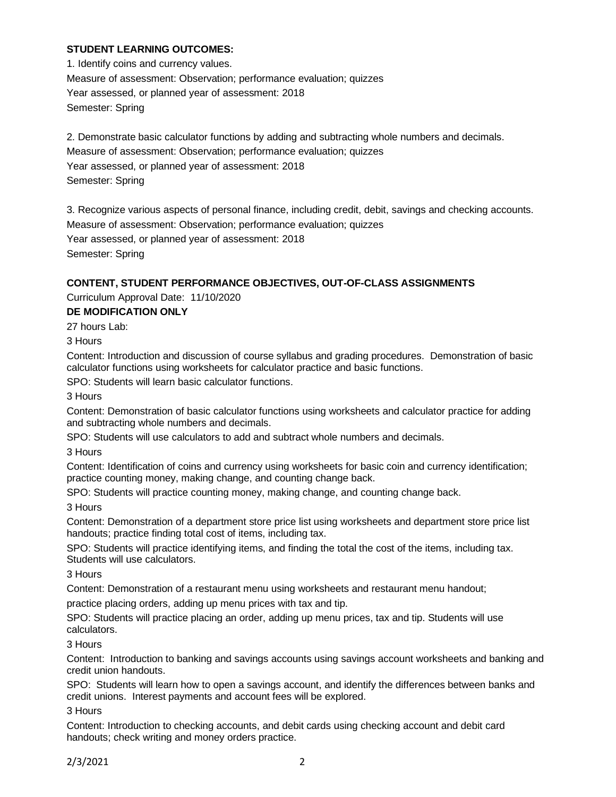# **STUDENT LEARNING OUTCOMES:**

1. Identify coins and currency values. Measure of assessment: Observation; performance evaluation; quizzes Year assessed, or planned year of assessment: 2018 Semester: Spring

2. Demonstrate basic calculator functions by adding and subtracting whole numbers and decimals.

Measure of assessment: Observation; performance evaluation; quizzes Year assessed, or planned year of assessment: 2018

Semester: Spring

3. Recognize various aspects of personal finance, including credit, debit, savings and checking accounts. Measure of assessment: Observation; performance evaluation; quizzes Year assessed, or planned year of assessment: 2018 Semester: Spring

# **CONTENT, STUDENT PERFORMANCE OBJECTIVES, OUT-OF-CLASS ASSIGNMENTS**

Curriculum Approval Date: 11/10/2020

**DE MODIFICATION ONLY**

27 hours Lab:

3 Hours

Content: Introduction and discussion of course syllabus and grading procedures. Demonstration of basic calculator functions using worksheets for calculator practice and basic functions.

SPO: Students will learn basic calculator functions.

3 Hours

Content: Demonstration of basic calculator functions using worksheets and calculator practice for adding and subtracting whole numbers and decimals.

SPO: Students will use calculators to add and subtract whole numbers and decimals.

3 Hours

Content: Identification of coins and currency using worksheets for basic coin and currency identification; practice counting money, making change, and counting change back.

SPO: Students will practice counting money, making change, and counting change back.

3 Hours

Content: Demonstration of a department store price list using worksheets and department store price list handouts; practice finding total cost of items, including tax.

SPO: Students will practice identifying items, and finding the total the cost of the items, including tax. Students will use calculators.

3 Hours

Content: Demonstration of a restaurant menu using worksheets and restaurant menu handout;

practice placing orders, adding up menu prices with tax and tip.

SPO: Students will practice placing an order, adding up menu prices, tax and tip. Students will use calculators.

3 Hours

Content: Introduction to banking and savings accounts using savings account worksheets and banking and credit union handouts.

SPO: Students will learn how to open a savings account, and identify the differences between banks and credit unions. Interest payments and account fees will be explored.

3 Hours

Content: Introduction to checking accounts, and debit cards using checking account and debit card handouts; check writing and money orders practice.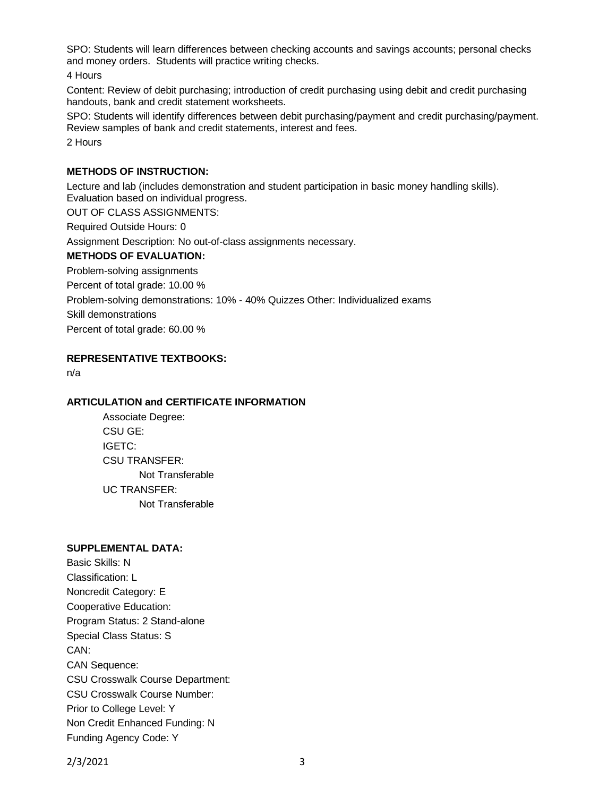SPO: Students will learn differences between checking accounts and savings accounts; personal checks and money orders. Students will practice writing checks.

4 Hours

Content: Review of debit purchasing; introduction of credit purchasing using debit and credit purchasing handouts, bank and credit statement worksheets.

SPO: Students will identify differences between debit purchasing/payment and credit purchasing/payment. Review samples of bank and credit statements, interest and fees.

2 Hours

### **METHODS OF INSTRUCTION:**

Lecture and lab (includes demonstration and student participation in basic money handling skills). Evaluation based on individual progress.

OUT OF CLASS ASSIGNMENTS:

Required Outside Hours: 0

Assignment Description: No out-of-class assignments necessary.

## **METHODS OF EVALUATION:**

Problem-solving assignments

Percent of total grade: 10.00 %

Problem-solving demonstrations: 10% - 40% Quizzes Other: Individualized exams

Skill demonstrations

Percent of total grade: 60.00 %

### **REPRESENTATIVE TEXTBOOKS:**

n/a

#### **ARTICULATION and CERTIFICATE INFORMATION**

Associate Degree: CSU GE: IGETC: CSU TRANSFER: Not Transferable UC TRANSFER: Not Transferable

### **SUPPLEMENTAL DATA:**

Basic Skills: N Classification: L Noncredit Category: E Cooperative Education: Program Status: 2 Stand-alone Special Class Status: S CAN: CAN Sequence: CSU Crosswalk Course Department: CSU Crosswalk Course Number: Prior to College Level: Y Non Credit Enhanced Funding: N Funding Agency Code: Y